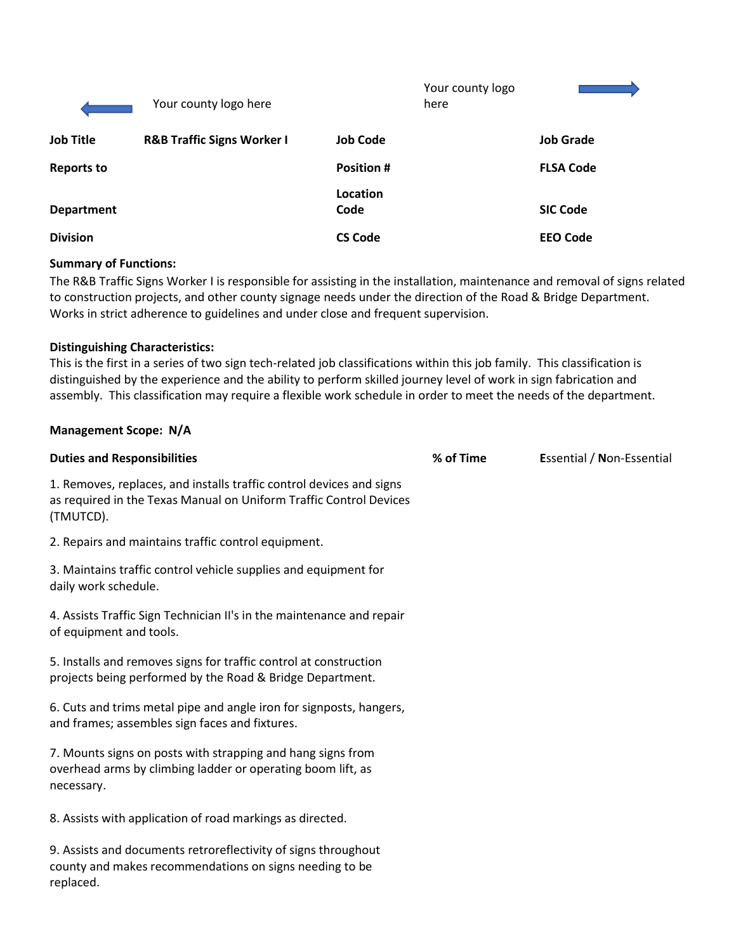|                   | Your county logo here                 |                  | Your county logo<br>here |                  |
|-------------------|---------------------------------------|------------------|--------------------------|------------------|
| <b>Job Title</b>  | <b>R&amp;B Traffic Signs Worker I</b> | <b>Job Code</b>  |                          | <b>Job Grade</b> |
| <b>Reports to</b> |                                       | <b>Position#</b> |                          | <b>FLSA Code</b> |
| <b>Department</b> |                                       | Location<br>Code |                          | <b>SIC Code</b>  |
| <b>Division</b>   |                                       | <b>CS Code</b>   |                          | <b>EEO Code</b>  |

#### **Summary of Functions:**

The R&B Traffic Signs Worker I is responsible for assisting in the installation, maintenance and removal of signs related to construction projects, and other county signage needs under the direction of the Road & Bridge Department. Works in strict adherence to guidelines and under close and frequent supervision.

## **Distinguishing Characteristics:**

**Management Scope: N/A**

This is the first in a series of two sign tech-related job classifications within this job family. This classification is distinguished by the experience and the ability to perform skilled journey level of work in sign fabrication and assembly. This classification may require a flexible work schedule in order to meet the needs of the department.

# **Duties and Responsibilities % of Time E**ssential / **N**on-Essential 1. Removes, replaces, and installs traffic control devices and signs as required in the Texas Manual on Uniform Traffic Control Devices (TMUTCD). 2. Repairs and maintains traffic control equipment. 3. Maintains traffic control vehicle supplies and equipment for daily work schedule. 4. Assists Traffic Sign Technician II's in the maintenance and repair of equipment and tools. 5. Installs and removes signs for traffic control at construction projects being performed by the Road & Bridge Department. 6. Cuts and trims metal pipe and angle iron for signposts, hangers, and frames; assembles sign faces and fixtures. 7. Mounts signs on posts with strapping and hang signs from overhead arms by climbing ladder or operating boom lift, as necessary. 8. Assists with application of road markings as directed. 9. Assists and documents retroreflectivity of signs throughout county and makes recommendations on signs needing to be replaced.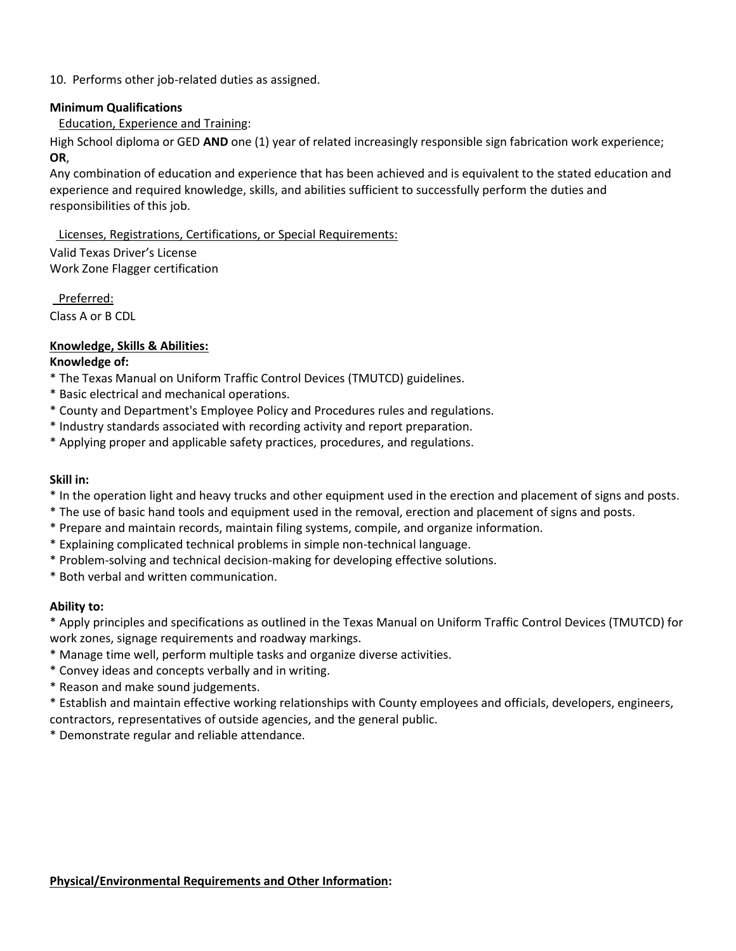## 10. Performs other job-related duties as assigned.

#### **Minimum Qualifications**

# Education, Experience and Training:

High School diploma or GED **AND** one (1) year of related increasingly responsible sign fabrication work experience; **OR**,

Any combination of education and experience that has been achieved and is equivalent to the stated education and experience and required knowledge, skills, and abilities sufficient to successfully perform the duties and responsibilities of this job.

Licenses, Registrations, Certifications, or Special Requirements:

Valid Texas Driver's License Work Zone Flagger certification

Preferred:

Class A or B CDL

# **Knowledge, Skills & Abilities:**

## **Knowledge of:**

- \* The Texas Manual on Uniform Traffic Control Devices (TMUTCD) guidelines.
- \* Basic electrical and mechanical operations.
- \* County and Department's Employee Policy and Procedures rules and regulations.
- \* Industry standards associated with recording activity and report preparation.
- \* Applying proper and applicable safety practices, procedures, and regulations.

### **Skill in:**

- \* In the operation light and heavy trucks and other equipment used in the erection and placement of signs and posts.
- \* The use of basic hand tools and equipment used in the removal, erection and placement of signs and posts.
- \* Prepare and maintain records, maintain filing systems, compile, and organize information.
- \* Explaining complicated technical problems in simple non-technical language.
- \* Problem-solving and technical decision-making for developing effective solutions.
- \* Both verbal and written communication.

# **Ability to:**

\* Apply principles and specifications as outlined in the Texas Manual on Uniform Traffic Control Devices (TMUTCD) for work zones, signage requirements and roadway markings.

- \* Manage time well, perform multiple tasks and organize diverse activities.
- \* Convey ideas and concepts verbally and in writing.
- \* Reason and make sound judgements.

\* Establish and maintain effective working relationships with County employees and officials, developers, engineers, contractors, representatives of outside agencies, and the general public.

\* Demonstrate regular and reliable attendance.